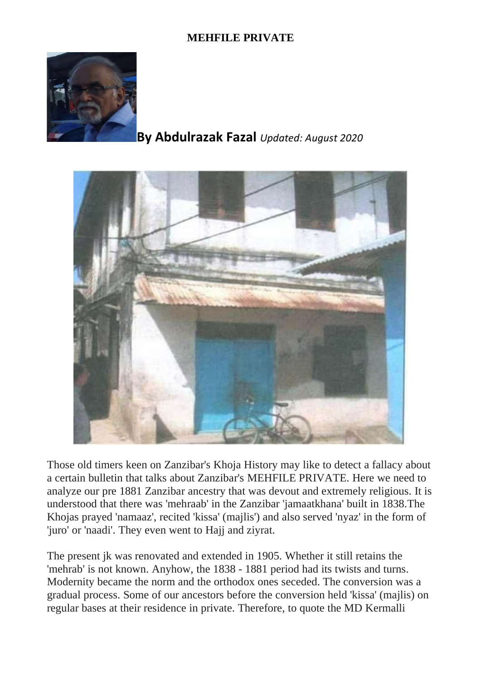## **MEHFILE PRIVATE**



## **By Abdulrazak Fazal** *Updated: August 2020*



Those old timers keen on Zanzibar's Khoja History may like to detect a fallacy about a certain bulletin that talks about Zanzibar's MEHFILE PRIVATE. Here we need to analyze our pre 1881 Zanzibar ancestry that was devout and extremely religious. It is understood that there was 'mehraab' in the Zanzibar 'jamaatkhana' built in 1838.The Khojas prayed 'namaaz', recited 'kissa' (majlis') and also served 'nyaz' in the form of 'juro' or 'naadi'. They even went to Hajj and ziyrat.

The present jk was renovated and extended in 1905. Whether it still retains the 'mehrab' is not known. Anyhow, the 1838 - 1881 period had its twists and turns. Modernity became the norm and the orthodox ones seceded. The conversion was a gradual process. Some of our ancestors before the conversion held 'kissa' (majlis) on regular bases at their residence in private. Therefore, to quote the MD Kermalli